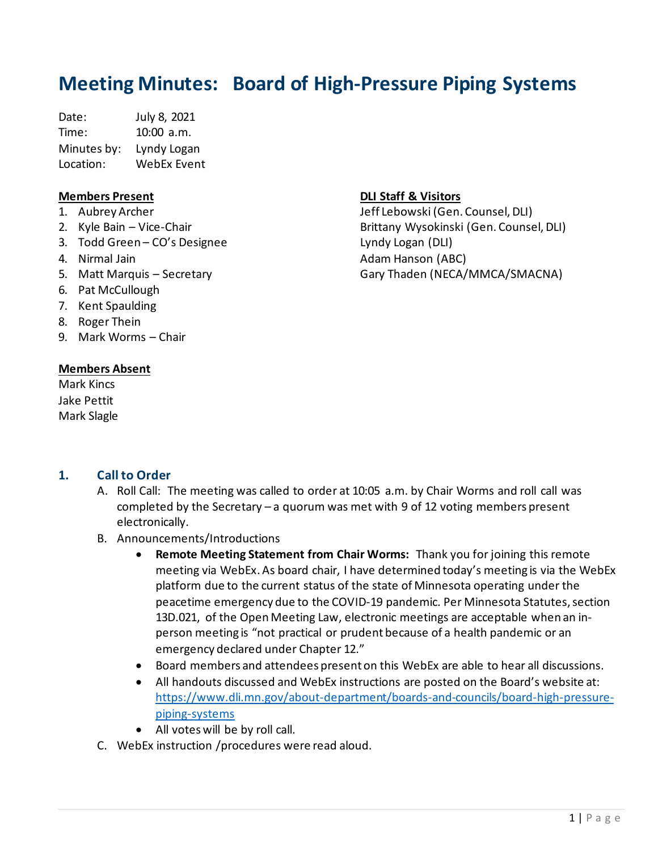# **Meeting Minutes: Board of High-Pressure Piping Systems**

Date: July 8, 2021 Time: 10:00 a.m. Minutes by: Lyndy Logan Location: WebEx Event

#### **Members Present**

- 1. Aubrey Archer
- 2. Kyle Bain Vice-Chair
- 3. Todd Green CO's Designee
- 4. Nirmal Jain
- 5. Matt Marquis Secretary
- 6. Pat McCullough
- 7. Kent Spaulding
- 8. Roger Thein
- 9. Mark Worms Chair

#### **Members Absent**

Mark Kincs Jake Pettit Mark Slagle

# **DLI Staff & Visitors**

Jeff Lebowski (Gen. Counsel, DLI) Brittany Wysokinski (Gen. Counsel, DLI) Lyndy Logan (DLI) Adam Hanson (ABC) Gary Thaden (NECA/MMCA/SMACNA)

## **1. Call to Order**

- A. Roll Call: The meeting was called to order at 10:05 a.m. by Chair Worms and roll call was completed by the Secretary – a quorum was met with 9 of 12 voting members present electronically.
- B. Announcements/Introductions
	- **Remote Meeting Statement from Chair Worms:** Thank you for joining this remote meeting via WebEx. As board chair, I have determined today's meeting is via the WebEx platform due to the current status of the state of Minnesota operating under the peacetime emergency due to the COVID-19 pandemic. Per Minnesota Statutes, section 13D.021, of the Open Meeting Law, electronic meetings are acceptable when an inperson meeting is "not practical or prudent because of a health pandemic or an emergency declared under Chapter 12."
	- Board members and attendees present on this WebEx are able to hear all discussions.
	- All handouts discussed and WebEx instructions are posted on the Board's website at: [https://www.dli.mn.gov/about-department/boards-and-councils/board-high-pressure](https://www.dli.mn.gov/about-department/boards-and-councils/board-high-pressure-piping-systems)[piping-systems](https://www.dli.mn.gov/about-department/boards-and-councils/board-high-pressure-piping-systems)
	- All votes will be by roll call.
- C. WebEx instruction /procedures were read aloud.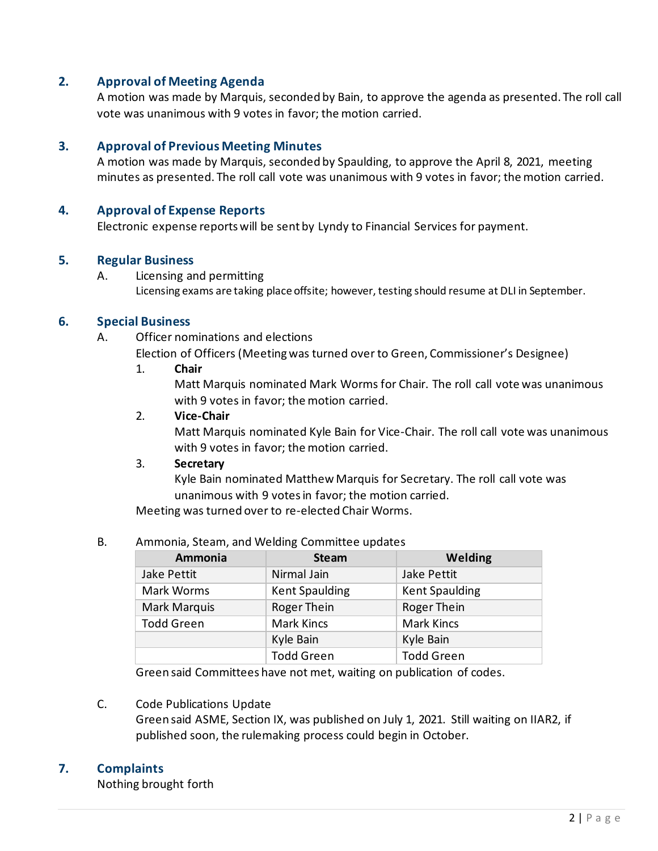# **2. Approval of Meeting Agenda**

A motion was made by Marquis, seconded by Bain, to approve the agenda as presented. The roll call vote was unanimous with 9 votes in favor; the motion carried.

# **3. Approval of Previous Meeting Minutes**

A motion was made by Marquis, seconded by Spaulding, to approve the April 8, 2021, meeting minutes as presented. The roll call vote was unanimous with 9 votes in favor; the motion carried.

#### **4. Approval of Expense Reports**

Electronic expense reports will be sent by Lyndy to Financial Services for payment.

## **5. Regular Business**

A. Licensing and permitting Licensing exams are taking place offsite; however, testing should resume at DLI in September.

#### **6. Special Business**

A. Officer nominations and elections

Election of Officers (Meeting was turned over to Green, Commissioner's Designee)

1. **Chair**

Matt Marquis nominated Mark Worms for Chair. The roll call vote was unanimous with 9 votes in favor; the motion carried.

#### 2. **Vice-Chair**

Matt Marquis nominated Kyle Bain for Vice-Chair. The roll call vote was unanimous with 9 votes in favor; the motion carried.

#### 3. **Secretary**

Kyle Bain nominated Matthew Marquis for Secretary. The roll call vote was unanimous with 9 votes in favor; the motion carried.

Meeting was turned over to re-elected Chair Worms.

#### B. Ammonia, Steam, and Welding Committee updates

| Ammonia           | <b>Steam</b>          | <b>Welding</b>        |
|-------------------|-----------------------|-----------------------|
| Jake Pettit       | Nirmal Jain           | Jake Pettit           |
| Mark Worms        | <b>Kent Spaulding</b> | <b>Kent Spaulding</b> |
| Mark Marquis      | Roger Thein           | Roger Thein           |
| <b>Todd Green</b> | <b>Mark Kincs</b>     | <b>Mark Kincs</b>     |
|                   | Kyle Bain             | Kyle Bain             |
|                   | <b>Todd Green</b>     | <b>Todd Green</b>     |

Green said Committees have not met, waiting on publication of codes.

#### C. Code Publications Update

Green said ASME, Section IX, was published on July 1, 2021. Still waiting on IIAR2, if published soon, the rulemaking process could begin in October.

#### **7. Complaints**

Nothing brought forth